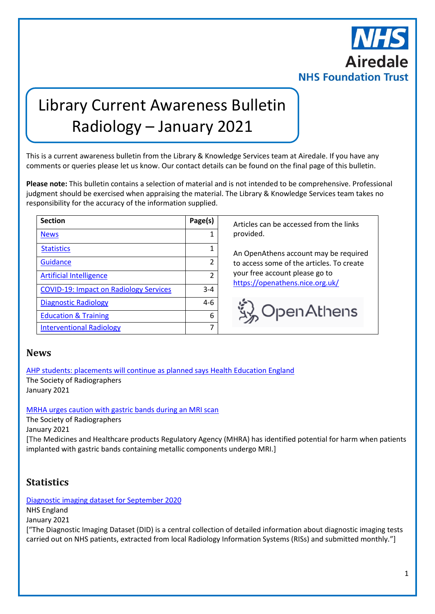

# Library Current Awareness Bulletin Radiology – January 2021

This is a current awareness bulletin from the Library & Knowledge Services team at Airedale. If you have any comments or queries please let us know. Our contact details can be found on the final page of this bulletin.

**Please note:** This bulletin contains a selection of material and is not intended to be comprehensive. Professional judgment should be exercised when appraising the material. The Library & Knowledge Services team takes no responsibility for the accuracy of the information supplied.

| <b>Section</b>                                | Page(s)       |
|-----------------------------------------------|---------------|
| <b>News</b>                                   |               |
| <b>Statistics</b>                             |               |
| Guidance                                      | 2             |
| <b>Artificial Intelligence</b>                | $\mathfrak z$ |
| <b>COVID-19: Impact on Radiology Services</b> | $3 - 4$       |
| <b>Diagnostic Radiology</b>                   | 4-6           |
| <b>Education &amp; Training</b>               | 6             |
| <b>Interventional Radiology</b>               |               |

**Section Page(s)** Articles can be accessed from the links provided.

An OpenAthens account may be required to access some of the articles. To create your free account please go to <https://openathens.nice.org.uk/>



#### <span id="page-0-0"></span>**News**

[AHP students: placements will continue as planned says Health Education England](https://www.sor.org/news/ahp-students-placements-will-continue-planned-says-health-education-england) The Society of Radiographers January 2021

[MRHA urges caution with gastric bands during an MRI scan](https://www.sor.org/news/mrha-urges-caution-gastric-bands-during-mri-scan)

The Society of Radiographers

January 2021

<span id="page-0-1"></span>[The Medicines and Healthcare products Regulatory Agency (MHRA) has identified potential for harm when patients implanted with gastric bands containing metallic components undergo MRI.]

### **Statistics**

[Diagnostic imaging dataset for September](https://www.gov.uk/government/statistics/diagnostic-imaging-dataset-for-september-2020) 2020 NHS England

January 2021

["The Diagnostic Imaging Dataset (DID) is a central collection of detailed information about diagnostic imaging tests carried out on NHS patients, extracted from local Radiology Information Systems (RISs) and submitted monthly."]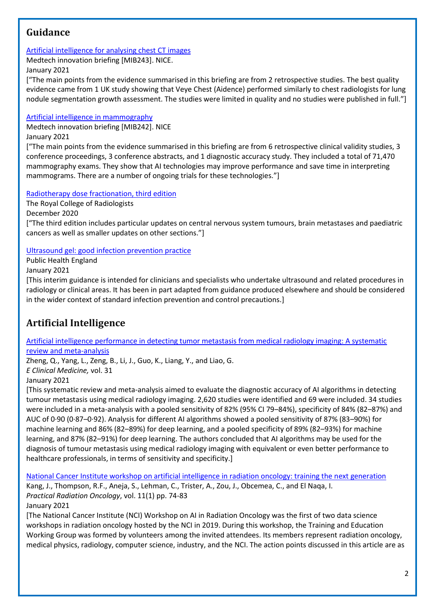### <span id="page-1-0"></span>**Guidance**

#### [Artificial intelligence for analysing chest CT images](https://www.nice.org.uk/advice/mib243)

Medtech innovation briefing [MIB243]. NICE.

January 2021

["The main points from the evidence summarised in this briefing are from 2 retrospective studies. The best quality evidence came from 1 UK study showing that Veye Chest (Aidence) performed similarly to chest radiologists for lung nodule segmentation growth assessment. The studies were limited in quality and no studies were published in full."]

#### [Artificial intelligence in mammography](https://www.nice.org.uk/advice/mib242)

Medtech innovation briefing [MIB242]. NICE January 2021

["The main points from the evidence summarised in this briefing are from 6 retrospective clinical validity studies, 3 conference proceedings, 3 conference abstracts, and 1 diagnostic accuracy study. They included a total of 71,470 mammography exams. They show that AI technologies may improve performance and save time in interpreting mammograms. There are a number of ongoing trials for these technologies."]

[Radiotherapy dose fractionation, third edition](https://www.rcr.ac.uk/system/files/publication/field_publication_files/brfo193_radiotherapy_dose_fractionation_third-edition.pdf)

The Royal College of Radiologists

December 2020

["The third edition includes particular updates on central nervous system tumours, brain metastases and paediatric cancers as well as smaller updates on other sections."]

#### [Ultrasound gel: good infection prevention](https://www.gov.uk/government/publications/ultrasound-gel-good-infection-prevention-practice) practice

Public Health England

January 2021

[This interim guidance is intended for clinicians and specialists who undertake ultrasound and related procedures in radiology or clinical areas. It has been in part adapted from guidance produced elsewhere and should be considered in the wider context of standard infection prevention and control precautions.]

# <span id="page-1-1"></span>**Artificial Intelligence**

#### [Artificial intelligence performance in detecting tumor metastasis from medical radiology imaging: A systematic](https://www.thelancet.com/journals/eclinm/article/PIIS2589-5370(20)30413-2/fulltext)  [review and meta-analysis](https://www.thelancet.com/journals/eclinm/article/PIIS2589-5370(20)30413-2/fulltext)

Zheng, Q., Yang, L., Zeng, B., Li, J., Guo, K., Liang, Y., and Liao, G.

*E Clinical Medicine,* vol. 31

January 2021

[This systematic review and meta-analysis aimed to evaluate the diagnostic accuracy of AI algorithms in detecting tumour metastasis using medical radiology imaging. 2,620 studies were identified and 69 were included. 34 studies were included in a meta-analysis with a pooled sensitivity of 82% (95% CI 79–84%), specificity of 84% (82–87%) and AUC of 0·90 (0·87–0·92). Analysis for different AI algorithms showed a pooled sensitivity of 87% (83–90%) for machine learning and 86% (82–89%) for deep learning, and a pooled specificity of 89% (82–93%) for machine learning, and 87% (82–91%) for deep learning. The authors concluded that AI algorithms may be used for the diagnosis of tumour metastasis using medical radiology imaging with equivalent or even better performance to healthcare professionals, in terms of sensitivity and specificity.]

[National Cancer Institute workshop on artificial intelligence in radiation oncology: training the next generation](https://www.practicalradonc.org/article/S1879-8500(20)30155-7/pdf) Kang, J., Thompson, R.F., Aneja, S., Lehman, C., Trister, A., Zou, J., Obcemea, C., and El Naqa, I. *Practical Radiation Oncology*, vol. 11(1) pp. 74-83 January 2021

[The National Cancer Institute (NCI) Workshop on AI in Radiation Oncology was the first of two data science workshops in radiation oncology hosted by the NCI in 2019. During this workshop, the Training and Education Working Group was formed by volunteers among the invited attendees. Its members represent radiation oncology, medical physics, radiology, computer science, industry, and the NCI. The action points discussed in this article are as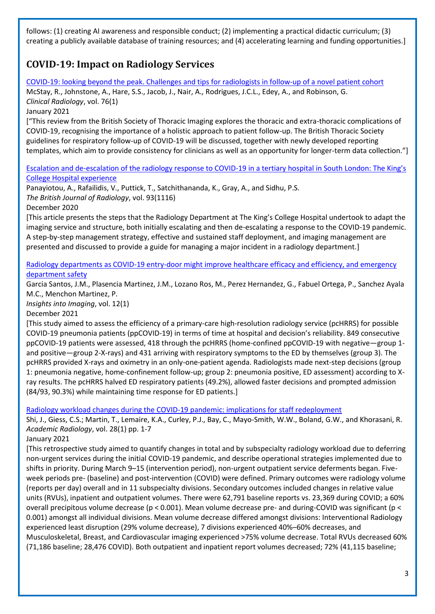follows: (1) creating AI awareness and responsible conduct; (2) implementing a practical didactic curriculum; (3) creating a publicly available database of training resources; and (4) accelerating learning and funding opportunities.]

## <span id="page-2-0"></span>**COVID-19: Impact on Radiology Services**

[COVID-19: looking beyond the peak. Challenges and tips for radiologists in follow-up of a novel patient cohort](https://www.sciencedirect.com/science/article/pii/S0009926020304402)

McStay, R., Johnstone, A., Hare, S.S., Jacob, J., Nair, A., Rodrigues, J.C.L., Edey, A., and Robinson, G. *Clinical Radiology*, vol. 76(1)

#### January 2021

["This review from the British Society of Thoracic Imaging explores the thoracic and extra-thoracic complications of COVID-19, recognising the importance of a holistic approach to patient follow-up. The British Thoracic Society guidelines for respiratory follow-up of COVID-19 will be discussed, together with newly developed reporting templates, which aim to provide consistency for clinicians as well as an opportunity for longer-term data collection."]

[Escalation and de-escalation of the radiology response to COVID-](https://www.birpublications.org/doi/10.1259/bjr.20201034)19 in a tertiary hospital in South London: The King's [College Hospital experience](https://www.birpublications.org/doi/10.1259/bjr.20201034)

Panayiotou, A., Rafailidis, V., Puttick, T., Satchithananda, K., Gray, A., and Sidhu, P.S. *The British Journal of Radiology*, vol. 93(1116) December 2020

[This article presents the steps that the Radiology Department at The King's College Hospital undertook to adapt the imaging service and structure, both initially escalating and then de-escalating a response to the COVID-19 pandemic. A step-by-step management strategy, effective and sustained staff deployment, and imaging management are presented and discussed to provide a guide for managing a major incident in a radiology department.]

[Radiology departments as COVID-19 entry-door might improve healthcare efficacy and efficiency, and emergency](https://link.springer.com/article/10.1186/s13244-020-00954-8)  [department safety](https://link.springer.com/article/10.1186/s13244-020-00954-8)

Garcia Santos, J.M., Plasencia Martinez, J.M., Lozano Ros, M., Perez Hernandez, G., Fabuel Ortega, P., Sanchez Ayala M.C., Menchon Martinez, P.

*Insights into Imaging*, vol. 12(1)

December 2021

[This study aimed to assess the efficiency of a primary-care high-resolution radiology service (pcHRRS) for possible COVID-19 pneumonia patients (ppCOVID-19) in terms of time at hospital and decision's reliability. 849 consecutive ppCOVID-19 patients were assessed, 418 through the pcHRRS (home-confined ppCOVID-19 with negative—group 1 and positive—group 2-X-rays) and 431 arriving with respiratory symptoms to the ED by themselves (group 3). The pcHRRS provided X-rays and oximetry in an only-one-patient agenda. Radiologists made next-step decisions (group 1: pneumonia negative, home-confinement follow-up; group 2: pneumonia positive, ED assessment) according to Xray results. The pcHRRS halved ED respiratory patients (49.2%), allowed faster decisions and prompted admission (84/93, 90.3%) while maintaining time response for ED patients.]

[Radiology workload changes during the COVID-19 pandemic: implications for staff redeployment](https://www.academicradiology.org/article/S1076-6332(20)30547-X/fulltext)

Shi, J., Giess, C.S.; Martin, T., Lemaire, K.A., Curley, P.J., Bay, C., Mayo-Smith, W.W., Boland, G.W., and Khorasani, R. *Academic Radiology*, vol. 28(1) pp. 1-7

January 2021

[This retrospective study aimed to quantify changes in total and by subspecialty radiology workload due to deferring non-urgent services during the initial COVID-19 pandemic, and describe operational strategies implemented due to shifts in priority. During March 9–15 (intervention period), non-urgent outpatient service deferments began. Fiveweek periods pre- (baseline) and post-intervention (COVID) were defined. Primary outcomes were radiology volume (reports per day) overall and in 11 subspecialty divisions. Secondary outcomes included changes in relative value units (RVUs), inpatient and outpatient volumes. There were 62,791 baseline reports vs. 23,369 during COVID; a 60% overall precipitous volume decrease (p < 0.001). Mean volume decrease pre- and during-COVID was significant (p < 0.001) amongst all individual divisions. Mean volume decrease differed amongst divisions: Interventional Radiology experienced least disruption (29% volume decrease), 7 divisions experienced 40%–60% decreases, and Musculoskeletal, Breast, and Cardiovascular imaging experienced >75% volume decrease. Total RVUs decreased 60% (71,186 baseline; 28,476 COVID). Both outpatient and inpatient report volumes decreased; 72% (41,115 baseline;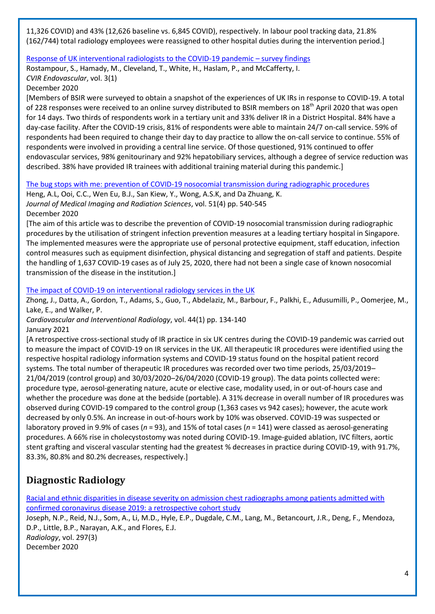11,326 COVID) and 43% (12,626 baseline vs. 6,845 COVID), respectively. In labour pool tracking data, 21.8% (162/744) total radiology employees were reassigned to other hospital duties during the intervention period.]

#### [Response of UK interventional radiologists to the COVID-19 pandemic](https://link.springer.com/article/10.1186/s42155-020-00133-2) – survey findings

Rostampour, S., Hamady, M., Cleveland, T., White, H., Haslam, P., and McCafferty, I.

*CVIR Endovascular*, vol. 3(1)

December 2020

[Members of BSIR were surveyed to obtain a snapshot of the experiences of UK IRs in response to COVID-19. A total of 228 responses were received to an online survey distributed to BSIR members on 18<sup>th</sup> April 2020 that was open for 14 days. Two thirds of respondents work in a tertiary unit and 33% deliver IR in a District Hospital. 84% have a day-case facility. After the COVID-19 crisis, 81% of respondents were able to maintain 24/7 on-call service. 59% of respondents had been required to change their day to day practice to allow the on-call service to continue. 55% of respondents were involved in providing a central line service. Of those questioned, 91% continued to offer endovascular services, 98% genitourinary and 92% hepatobiliary services, although a degree of service reduction was described. 38% have provided IR trainees with additional training material during this pandemic.]

#### [The bug stops with me: prevention of COVID-19 nosocomial transmission during radiographic procedures](https://www.jmirs.org/article/S1939-8654(20)30210-1/fulltext)

Heng, A.L, Ooi, C.C., Wen Eu, B.J., San Kiew, Y., Wong, A.S.K, and Da Zhuang, K. *Journal of Medical Imaging and Radiation Sciences*, vol. 51(4) pp. 540-545 December 2020

[The aim of this article was to describe the prevention of COVID-19 nosocomial transmission during radiographic procedures by the utilisation of stringent infection prevention measures at a leading tertiary hospital in Singapore. The implemented measures were the appropriate use of personal protective equipment, staff education, infection control measures such as equipment disinfection, physical distancing and segregation of staff and patients. Despite the handling of 1,637 COVID-19 cases as of July 25, 2020, there had not been a single case of known nosocomial transmission of the disease in the institution.]

#### [The impact of COVID-19 on interventional radiology services in the UK](https://www.ncbi.nlm.nih.gov/pmc/articles/PMC7609351/)

Zhong, J., Datta, A., Gordon, T., Adams, S., Guo, T., Abdelaziz, M., Barbour, F., Palkhi, E., Adusumilli, P., Oomerjee, M., Lake, E., and Walker, P.

*Cardiovascular and Interventional Radiology*, vol. 44(1) pp. 134-140 January 2021

[A retrospective cross-sectional study of IR practice in six UK centres during the COVID-19 pandemic was carried out to measure the impact of COVID-19 on IR services in the UK. All therapeutic IR procedures were identified using the respective hospital radiology information systems and COVID-19 status found on the hospital patient record systems. The total number of therapeutic IR procedures was recorded over two time periods, 25/03/2019– 21/04/2019 (control group) and 30/03/2020–26/04/2020 (COVID-19 group). The data points collected were: procedure type, aerosol-generating nature, acute or elective case, modality used, in or out-of-hours case and whether the procedure was done at the bedside (portable). A 31% decrease in overall number of IR procedures was observed during COVID-19 compared to the control group (1,363 cases vs 942 cases); however, the acute work decreased by only 0.5%. An increase in out-of-hours work by 10% was observed. COVID-19 was suspected or laboratory proved in 9.9% of cases (*n* = 93), and 15% of total cases (*n* = 141) were classed as aerosol-generating procedures. A 66% rise in cholecystostomy was noted during COVID-19. Image-guided ablation, IVC filters, aortic stent grafting and visceral vascular stenting had the greatest % decreases in practice during COVID-19, with 91.7%, 83.3%, 80.8% and 80.2% decreases, respectively.]

### <span id="page-3-0"></span>**Diagnostic Radiology**

[Racial and ethnic disparities in disease severity on admission chest radiographs among patients admitted with](https://pubs.rsna.org/doi/full/10.1148/radiol.2020202602)  [confirmed coronavirus disease 2019:](https://pubs.rsna.org/doi/full/10.1148/radiol.2020202602) a retrospective cohort study

Joseph, N.P., Reid, N.J., Som, A., Li, M.D., Hyle, E.P., Dugdale, C.M., Lang, M., Betancourt, J.R., Deng, F., Mendoza, D.P., Little, B.P., Narayan, A.K., and Flores, E.J. *Radiology*, vol. 297(3) December 2020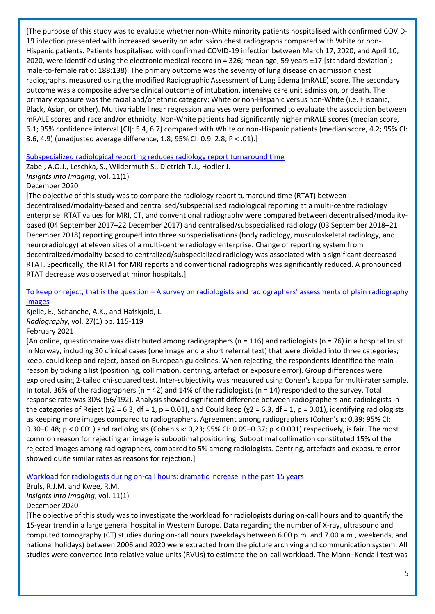[The purpose of this study was to evaluate whether non-White minority patients hospitalised with confirmed COVID-19 infection presented with increased severity on admission chest radiographs compared with White or non-Hispanic patients. Patients hospitalised with confirmed COVID-19 infection between March 17, 2020, and April 10, 2020, were identified using the electronic medical record (n = 326; mean age, 59 years ±17 [standard deviation]; male-to-female ratio: 188:138). The primary outcome was the severity of lung disease on admission chest radiographs, measured using the modified Radiographic Assessment of Lung Edema (mRALE) score. The secondary outcome was a composite adverse clinical outcome of intubation, intensive care unit admission, or death. The primary exposure was the racial and/or ethnic category: White or non-Hispanic versus non-White (i.e. Hispanic, Black, Asian, or other). Multivariable linear regression analyses were performed to evaluate the association between mRALE scores and race and/or ethnicity. Non-White patients had significantly higher mRALE scores (median score, 6.1; 95% confidence interval [CI]: 5.4, 6.7) compared with White or non-Hispanic patients (median score, 4.2; 95% CI: 3.6, 4.9) (unadjusted average difference, 1.8; 95% CI: 0.9, 2.8; P < .01).]

#### [Subspecialized radiological reporting reduces radiology report turnaround time](https://insightsimaging.springeropen.com/articles/10.1186/s13244-020-00917-z)

Zabel, A.O.J., Leschka, S., Wildermuth S., Dietrich T.J., Hodler J.

*Insights into Imaging*, vol. 11(1)

#### December 2020

[The objective of this study was to compare the radiology report turnaround time (RTAT) between decentralised/modality-based and centralised/subspecialised radiological reporting at a multi-centre radiology enterprise. RTAT values for MRI, CT, and conventional radiography were compared between decentralised/modalitybased (04 September 2017–22 December 2017) and centralised/subspecialised radiology (03 September 2018–21 December 2018) reporting grouped into three subspecialisations (body radiology, musculoskeletal radiology, and neuroradiology) at eleven sites of a multi-centre radiology enterprise. Change of reporting system from decentralized/modality-based to centralized/subspecialized radiology was associated with a significant decreased RTAT. Specifically, the RTAT for MRI reports and conventional radiographs was significantly reduced. A pronounced RTAT decrease was observed at minor hospitals.]

#### To keep or reject, that is the question – [A survey on radiologists and radiographers' assessments of plain radiography](https://www.sciencedirect.com/science/article/pii/S1078817420301243)  [images](https://www.sciencedirect.com/science/article/pii/S1078817420301243)

Kjelle, E., Schanche, A.K., and Hafskjold, L. *Radiography*, vol. 27(1) pp. 115-119

#### February 2021

[An online, questionnaire was distributed among radiographers ( $n = 116$ ) and radiologists ( $n = 76$ ) in a hospital trust in Norway, including 30 clinical cases (one image and a short referral text) that were divided into three categories; keep, could keep and reject, based on European guidelines. When rejecting, the respondents identified the main reason by ticking a list (positioning, collimation, centring, artefact or exposure error). Group differences were explored using 2-tailed chi-squared test. Inter-subjectivity was measured using Cohen's kappa for multi-rater sample. In total, 36% of the radiographers (n = 42) and 14% of the radiologists (n = 14) responded to the survey. Total response rate was 30% (56/192). Analysis showed significant difference between radiographers and radiologists in the categories of Reject (χ2 = 6.3, df = 1, p = 0.01), and Could keep (χ2 = 6.3, df = 1, p = 0.01), identifying radiologists as keeping more images compared to radiographers. Agreement among radiographers (Cohen's κ: 0,39; 95% CI: 0.30–0.48; p < 0.001) and radiologists (Cohen's κ: 0,23; 95% CI: 0.09–0.37; p < 0.001) respectively, is fair. The most common reason for rejecting an image is suboptimal positioning. Suboptimal collimation constituted 15% of the rejected images among radiographers, compared to 5% among radiologists. Centring, artefacts and exposure error showed quite similar rates as reasons for rejection.]

#### [Workload for radiologists during on-call hours: dramatic increase in the past 15 years](https://link.springer.com/article/10.1186/s13244-020-00925-z)

Bruls, R.J.M. and Kwee, R.M. *Insights into Imaging*, vol. 11(1) December 2020

[The objective of this study was to investigate the workload for radiologists during on-call hours and to quantify the 15-year trend in a large general hospital in Western Europe. Data regarding the number of X-ray, ultrasound and computed tomography (CT) studies during on-call hours (weekdays between 6.00 p.m. and 7.00 a.m., weekends, and national holidays) between 2006 and 2020 were extracted from the picture archiving and communication system. All studies were converted into relative value units (RVUs) to estimate the on-call workload. The Mann–Kendall test was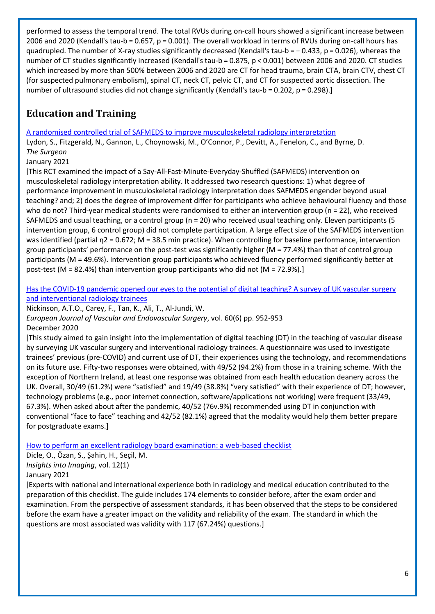performed to assess the temporal trend. The total RVUs during on-call hours showed a significant increase between 2006 and 2020 (Kendall's tau-b = 0.657, p = 0.001). The overall workload in terms of RVUs during on-call hours has quadrupled. The number of X-ray studies significantly decreased (Kendall's tau-b = − 0.433, p = 0.026), whereas the number of CT studies significantly increased (Kendall's tau-b = 0.875, p < 0.001) between 2006 and 2020. CT studies which increased by more than 500% between 2006 and 2020 are CT for head trauma, brain CTA, brain CTV, chest CT (for suspected pulmonary embolism), spinal CT, neck CT, pelvic CT, and CT for suspected aortic dissection. The number of ultrasound studies did not change significantly (Kendall's tau-b = 0.202, p = 0.298).]

# <span id="page-5-0"></span>**Education and Training**

[A randomised controlled trial of SAFMEDS to improve musculoskeletal radiology interpretation](https://www.sciencedirect.com/science/article/pii/S1479666X20301773?via%3Dihub)

Lydon, S., Fitzgerald, N., Gannon, L., Choynowski, M., O'Connor, P., Devitt, A., Fenelon, C., and Byrne, D. *The Surgeon*

January 2021

[This RCT examined the impact of a Say-All-Fast-Minute-Everyday-Shuffled (SAFMEDS) intervention on musculoskeletal radiology interpretation ability. It addressed two research questions: 1) what degree of performance improvement in musculoskeletal radiology interpretation does SAFMEDS engender beyond usual teaching? and; 2) does the degree of improvement differ for participants who achieve behavioural fluency and those who do not? Third-year medical students were randomised to either an intervention group (n = 22), who received SAFMEDS and usual teaching, or a control group (n = 20) who received usual teaching only. Eleven participants (5 intervention group, 6 control group) did not complete participation. A large effect size of the SAFMEDS intervention was identified (partial η2 = 0.672; M = 38.5 min practice). When controlling for baseline performance, intervention group participants' performance on the post-test was significantly higher (M = 77.4%) than that of control group participants (M = 49.6%). Intervention group participants who achieved fluency performed significantly better at post-test (M = 82.4%) than intervention group participants who did not (M = 72.9%).]

[Has the COVID-19 pandemic opened our eyes to the potential of digital teaching? A survey of UK vascular surgery](https://www.ncbi.nlm.nih.gov/pmc/articles/PMC7510498/)  [and interventional radiology trainees](https://www.ncbi.nlm.nih.gov/pmc/articles/PMC7510498/)

Nickinson, A.T.O., Carey, F., Tan, K., Ali, T., Al-Jundi, W.

*European Journal of Vascular and Endovascular Surgery*, vol. 60(6) pp. 952-953 December 2020

[This study aimed to gain insight into the implementation of digital teaching (DT) in the teaching of vascular disease by surveying UK vascular surgery and interventional radiology trainees. A questionnaire was used to investigate trainees' previous (pre-COVID) and current use of DT, their experiences using the technology, and recommendations on its future use. Fifty-two responses were obtained, with 49/52 (94.2%) from those in a training scheme. With the exception of Northern Ireland, at least one response was obtained from each health education deanery across the UK. Overall, 30/49 (61.2%) were "satisfied" and 19/49 (38.8%) "very satisfied" with their experience of DT; however, technology problems (e.g., poor internet connection, software/applications not working) were frequent (33/49, 67.3%). When asked about after the pandemic, 40/52 (76v.9%) recommended using DT in conjunction with conventional "face to face" teaching and 42/52 (82.1%) agreed that the modality would help them better prepare for postgraduate exams.]

[How to perform an excellent radiology board examination: a web-based checklist](https://link.springer.com/article/10.1186/s13244-020-00924-0)

Dicle, O., Özan, S., Şahin, H., Seçil, M.

*Insights into Imaging*, vol. 12(1)

January 2021

[Experts with national and international experience both in radiology and medical education contributed to the preparation of this checklist. The guide includes 174 elements to consider before, after the exam order and examination. From the perspective of assessment standards, it has been observed that the steps to be considered before the exam have a greater impact on the validity and reliability of the exam. The standard in which the questions are most associated was validity with 117 (67.24%) questions.]